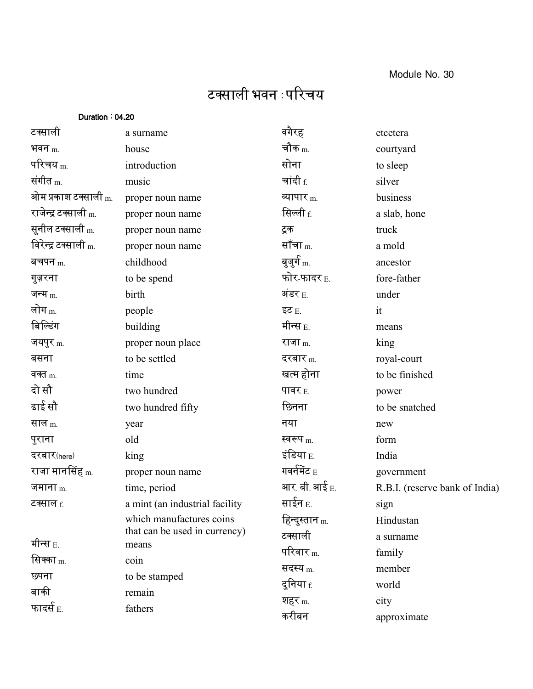## टक्साली भवन :परिचय

| Duration: 04.20                 |                                |                           |                                |
|---------------------------------|--------------------------------|---------------------------|--------------------------------|
| टक्साली                         | a surname                      | वगैरह                     | etcetera                       |
| भवन $_{\rm m}$                  | house                          | चौक $_{\rm m}$            | courtyard                      |
| परिचय $_{\rm m}$                | introduction                   | सोना                      | to sleep                       |
| संगीत $_{\rm m}$                | music                          | चांदी $_{\rm f.}$         | silver                         |
| ओम प्रकाश टक्साली <sub>m.</sub> | proper noun name               | व्यापार $m$               | business                       |
| राजेन्द्र टक्साली <sub>m.</sub> | proper noun name               | सिल्ली <sub>f.</sub>      | a slab, hone                   |
| सुनील टक्साली <sub>m.</sub>     | proper noun name               | ट्रक                      | truck                          |
| विरेन्द्र टक्साली <sub>m.</sub> | proper noun name               | सॉंचा <sub>m.</sub>       | a mold                         |
| बचपन $m$                        | childhood                      | बूजुर्ग <sub>m.</sub>     | ancestor                       |
| गुज़रना                         | to be spend                    | फोर-फादर <sub>E.</sub>    | fore-father                    |
| जन्म $_m$                       | birth                          | अंडर $_{\rm E.}$          | under                          |
| लोग <sub>m.</sub>               | people                         | इट $E$                    | it                             |
| बिल्डिंग                        | building                       | मीन्स $_{\rm E}$          | means                          |
| जयपुर m.                        | proper noun place              | राजा m.                   | king                           |
| बसना                            | to be settled                  | दरबार $_{\rm m}$          | royal-court                    |
| वक्त $m$                        | time                           | खत्म होना                 | to be finished                 |
| दो सौ                           | two hundred                    | पावर $E$                  | power                          |
| ढाई सौ                          | two hundred fifty              | छिनना                     | to be snatched                 |
| साल m.                          | year                           | नया                       | new                            |
| पुराना                          | old                            | स्वरूप $_{\rm m}$         | form                           |
| दरबार(here)                     | king                           | इंडिया $_{\rm E.}$        | India                          |
| राजा मानसिंह <sub>m.</sub>      | proper noun name               | गवर्नमेंट $_{\rm E}$      | government                     |
| जमाना $_{\text{m}}$             | time, period                   | आर बी.आई $_{\rm E.}$      | R.B.I. (reserve bank of India) |
| टक्साल <sub>f.</sub>            | a mint (an industrial facility | साईन <sub>E.</sub>        | sign                           |
|                                 | which manufactures coins       | हिन्दुस्तान <sub>m.</sub> | Hindustan                      |
| मीन्स $_{\rm E.}$               | that can be used in currency)  | टक्साली                   | a surname                      |
| सिक्का <sub>m.</sub>            | means<br>coin                  | परिवार $_{\rm m}$         | family                         |
| छपना                            |                                | सदस्य <sub>m.</sub>       | member                         |
| बाकी                            | to be stamped                  | दुनिया <sub>f.</sub>      | world                          |
| फादर्स $_{\rm E.}$              | remain<br>fathers              | शहर <sub>m.</sub>         | city                           |
|                                 |                                | करीबन                     | approximate                    |